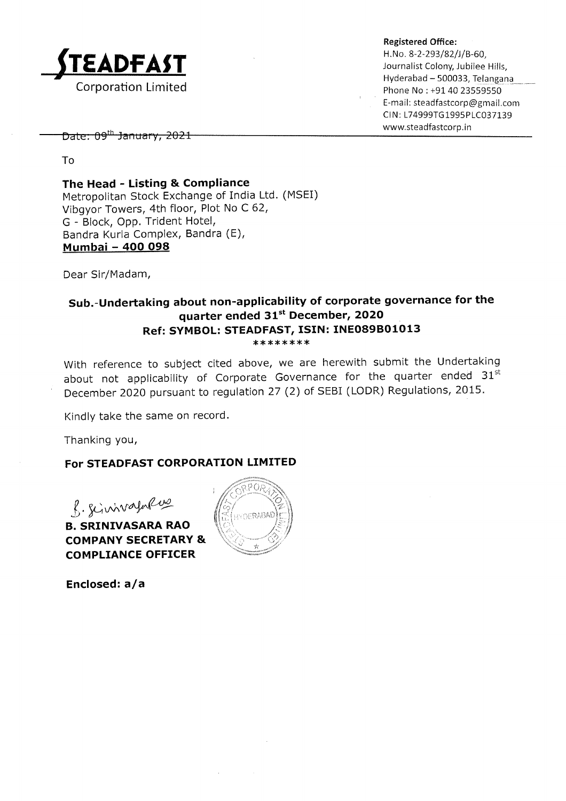

Hyderabad - 500033, Telangana Phone No : +91 40 23559550 E-mail: steadfastcorp@gmail.com Cl N : 174999TG 1995P1C037 I39

www,steadfastcorp. in ^ , ^^th r^-.--.... 1^1{ lJolc. vJ JqllLlql Y, zw-L

To

The Head - Listing & Compliance Metropolitan Stock Exchange of India Ltd. (MSEI) Vibgyor Towers, 4th floor, Plot No C 62, <sup>G</sup>- Block, Opp. Trident Hotel, Bandra Kurla Complex, Bandra (E), Mumbai - 4OO O98

Dear Sir/Madam,

## Sub.-Undertaking about non-applicability of corporate governance for the quarter ended 31<sup>st</sup> December, 2020 Ref: SYMBOL: STEADFAST, ISIN: INE089B01013<br>\*\*\*\*\*\*\*\*

With reference to subject cited above, we are herewith submit the Undertaking about not applicability of Corporate Governance for the quarter ended  $31^{st}$ December 2O2O pursuant to regulation 27 (2) of SEBI (LODR) Regulations, 2OL5.

Kindly take the same on record.

Thanking you,

### For STEADFAST CORPORATION LIMITED

 $g.$  Scinivagnew

B. SRINIVASARA RAO COMPANY SECRETARY & COMPLIANCE OFFICER



Enclosed: a/a